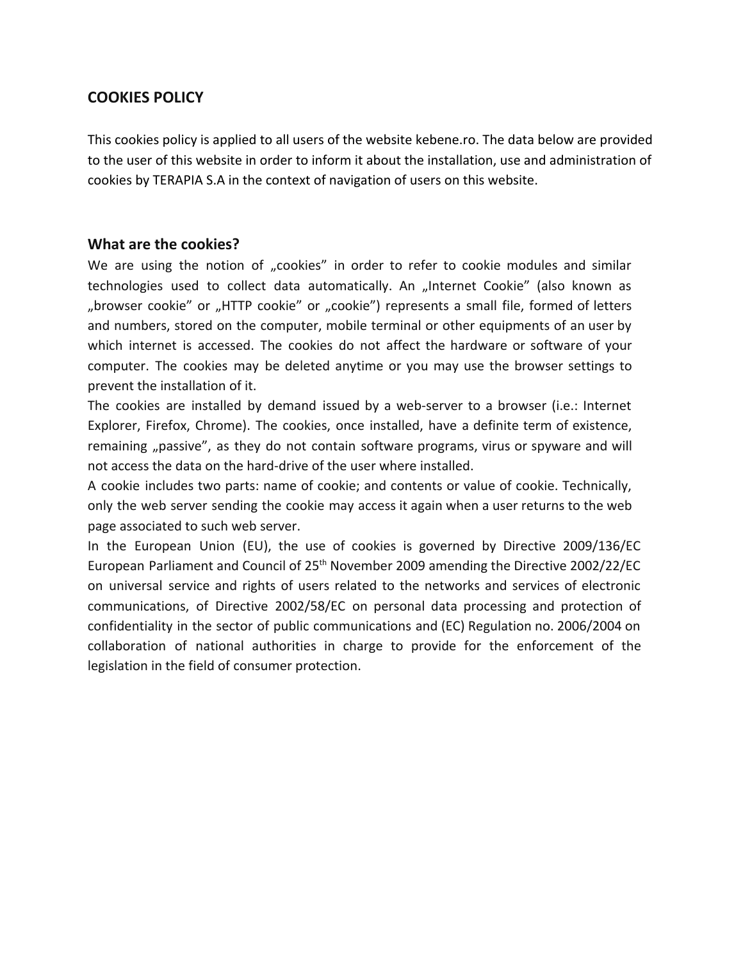## **COOKIES POLICY**

This cookies policy is applied to all users of the website [kebene.ro](https://probioticulhepiflor.ro/en). The data below are provided to the user of this website in order to inform it about the installation, use and administration of cookies by TERAPIA S.A in the context of navigation of users on this website.

## **What are the cookies?**

We are using the notion of "cookies" in order to refer to cookie modules and similar technologies used to collect data automatically. An "Internet Cookie" (also known as "browser cookie" or "HTTP cookie" or "cookie") represents a small file, formed of letters and numbers, stored on the computer, mobile terminal or other equipments of an user by which internet is accessed. The cookies do not affect the hardware or software of your computer. The cookies may be deleted anytime or you may use the browser settings to prevent the installation of it.

The cookies are installed by demand issued by a web-server to a browser (i.e.: Internet Explorer, Firefox, Chrome). The cookies, once installed, have a definite term of existence, remaining "passive", as they do not contain software programs, virus or spyware and will not access the data on the hard-drive of the user where installed.

A cookie includes two parts: name of cookie; and contents or value of cookie. Technically, only the web server sending the cookie may access it again when a user returns to the web page associated to such web server.

In the European Union (EU), the use of cookies is governed by Directive 2009/136/EC European Parliament and Council of 25<sup>th</sup> November 2009 amending the Directive 2002/22/EC on universal service and rights of users related to the networks and services of electronic communications, of Directive 2002/58/EC on personal data processing and protection of confidentiality in the sector of public communications and (EC) Regulation no. 2006/2004 on collaboration of national authorities in charge to provide for the enforcement of the legislation in the field of consumer protection.